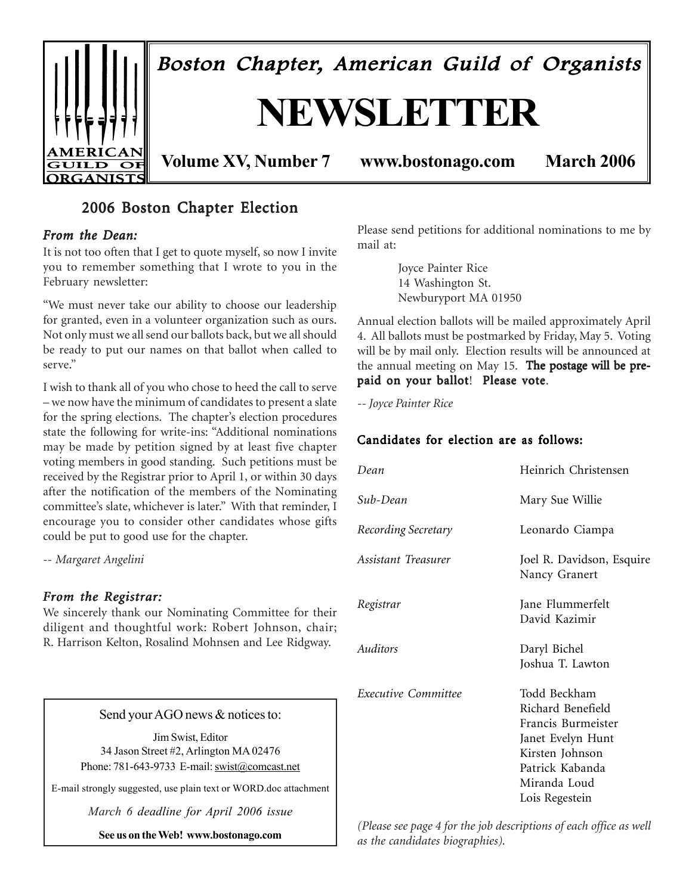

# 2006 Boston Chapter Election

### *From the Dean: From*

It is not too often that I get to quote myself, so now I invite you to remember something that I wrote to you in the February newsletter:

"We must never take our ability to choose our leadership for granted, even in a volunteer organization such as ours. Not only must we all send our ballots back, but we all should be ready to put our names on that ballot when called to serve."

I wish to thank all of you who chose to heed the call to serve – we now have the minimum of candidates to present a slate for the spring elections. The chapter's election procedures state the following for write-ins: "Additional nominations may be made by petition signed by at least five chapter voting members in good standing. Such petitions must be received by the Registrar prior to April 1, or within 30 days after the notification of the members of the Nominating committee's slate, whichever is later." With that reminder, I encourage you to consider other candidates whose gifts could be put to good use for the chapter.

-- *Margaret Angelini*

### *From the Registrar:*

We sincerely thank our Nominating Committee for their diligent and thoughtful work: Robert Johnson, chair; R. Harrison Kelton, Rosalind Mohnsen and Lee Ridgway.

Send your AGO news & notices to:

Jim Swist, Editor 34 Jason Street #2, Arlington MA 02476 Phone: 781-643-9733 E-mail: swist@comcast.net

E-mail strongly suggested, use plain text or WORD.doc attachment

*March 6 deadline for April 2006 issue*

**See us on the Web! www.bostonago.com**

Please send petitions for additional nominations to me by mail at:

> Joyce Painter Rice 14 Washington St. Newburyport MA 01950

Annual election ballots will be mailed approximately April 4. All ballots must be postmarked by Friday, May 5. Voting will be by mail only. Election results will be announced at the annual meeting on May 15. The postage will be prepaid on your ballot! Please vote.

*-- Joyce Painter Rice*

### Candidates for election are as follows:

| Dean                | Heinrich Christensen                                                                                                                                 |
|---------------------|------------------------------------------------------------------------------------------------------------------------------------------------------|
| Sub-Dean            | Mary Sue Willie                                                                                                                                      |
| Recording Secretary | Leonardo Ciampa                                                                                                                                      |
| Assistant Treasurer | Joel R. Davidson, Esquire<br>Nancy Granert                                                                                                           |
| Registrar           | Jane Flummerfelt<br>David Kazimir                                                                                                                    |
| Auditors            | Daryl Bichel<br>Joshua T. Lawton                                                                                                                     |
| Executive Committee | Todd Beckham<br>Richard Benefield<br>Francis Burmeister<br>Janet Evelyn Hunt<br>Kirsten Johnson<br>Patrick Kabanda<br>Miranda Loud<br>Lois Regestein |

*(Please see page 4 for the job descriptions of each office as well as the candidates biographies).*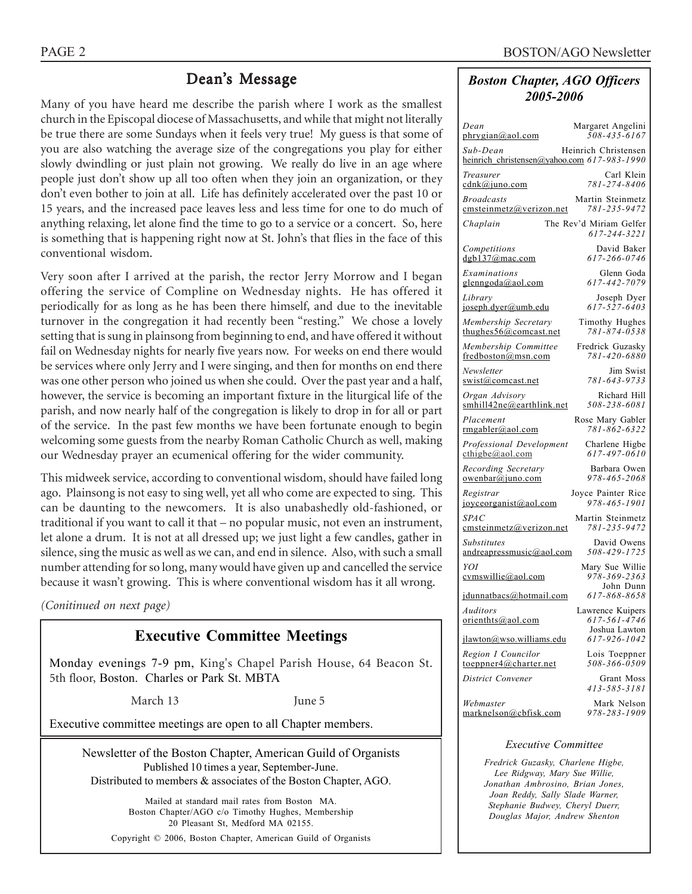### Dean's Message

Many of you have heard me describe the parish where I work as the smallest church in the Episcopal diocese of Massachusetts, and while that might not literally be true there are some Sundays when it feels very true! My guess is that some of you are also watching the average size of the congregations you play for either slowly dwindling or just plain not growing. We really do live in an age where people just don't show up all too often when they join an organization, or they don't even bother to join at all. Life has definitely accelerated over the past 10 or 15 years, and the increased pace leaves less and less time for one to do much of anything relaxing, let alone find the time to go to a service or a concert. So, here is something that is happening right now at St. John's that flies in the face of this conventional wisdom.

Very soon after I arrived at the parish, the rector Jerry Morrow and I began offering the service of Compline on Wednesday nights. He has offered it periodically for as long as he has been there himself, and due to the inevitable turnover in the congregation it had recently been "resting." We chose a lovely setting that is sung in plainsong from beginning to end, and have offered it without fail on Wednesday nights for nearly five years now. For weeks on end there would be services where only Jerry and I were singing, and then for months on end there was one other person who joined us when she could. Over the past year and a half, however, the service is becoming an important fixture in the liturgical life of the parish, and now nearly half of the congregation is likely to drop in for all or part of the service. In the past few months we have been fortunate enough to begin welcoming some guests from the nearby Roman Catholic Church as well, making our Wednesday prayer an ecumenical offering for the wider community.

This midweek service, according to conventional wisdom, should have failed long ago. Plainsong is not easy to sing well, yet all who come are expected to sing. This can be daunting to the newcomers. It is also unabashedly old-fashioned, or traditional if you want to call it that – no popular music, not even an instrument, let alone a drum. It is not at all dressed up; we just light a few candles, gather in silence, sing the music as well as we can, and end in silence. Also, with such a small number attending for so long, many would have given up and cancelled the service because it wasn't growing. This is where conventional wisdom has it all wrong.

*(Conitinued on next page)*

### **Executive Committee Meetings**

Monday evenings 7-9 pm, King's Chapel Parish House, 64 Beacon St. 5th floor, Boston. Charles or Park St. MBTA

March 13 June 5

Executive committee meetings are open to all Chapter members.

Newsletter of the Boston Chapter, American Guild of Organists Published 10 times a year, September-June. Distributed to members & associates of the Boston Chapter, AGO.

Mailed at standard mail rates from Boston MA. Boston Chapter/AGO c/o Timothy Hughes, Membership 20 Pleasant St, Medford MA 02155.

Copyright © 2006, Boston Chapter, American Guild of Organists

### *Boston Chapter, AGO Officers 2005-2006*

| Dean                                                    | Margaret Angelini                       |
|---------------------------------------------------------|-----------------------------------------|
| phrygian@aol.com                                        | 508-435-6167                            |
| Sub-Dean<br>heinrich_christensen@yahoo.com 617-983-1990 | Heinrich Christensen                    |
| Treasurer                                               | Carl Klein                              |
| cdnk@juno.com                                           | 781-274-8406                            |
| Broadcasts                                              | Martin Steinmetz                        |
| cmsteinmetz@verizon.net                                 | 781-235-9472                            |
| Chaplain                                                | The Rev'd Miriam Gelfer<br>617-244-3221 |
| Competitions                                            | David Baker                             |
| dgb137@mac.com                                          | 617-266-0746                            |
| Examinations                                            | Glenn Goda                              |
| <u>glenngoda@aol.com</u>                                | 617-442-7079                            |
| Library<br>joseph.dyer@umb.edu                          | Joseph Dyer<br>617-527-6403             |
| Membership Secretary                                    | Timothy Hughes                          |
| thughes $56@$ comcast.net                               | 781-874-0538                            |
| Membership Committee                                    | Fredrick Guzasky                        |
| fredboston@msn.com                                      | 781-420-6880                            |
| Newsletter                                              | Jim Swist                               |
| swist@comcast.net                                       | 781-643-9733                            |
| Organ Advisory                                          | Richard Hill                            |
| smhill42ne@earthlink.net                                | 508-238-6081                            |
| Placement                                               | Rose Mary Gabler                        |
| <u>rmgabler@aol.com</u>                                 | 781-862-6322                            |
| Professional Development                                | Charlene Higbe                          |
| $\text{cthigbe}(a)$ aol.com                             | 617-497-0610                            |
| Recording Secretary                                     | Barbara Owen                            |
| owenbar@juno.com                                        | 978-465-2068                            |
| Registrar                                               | Joyce Painter Rice                      |
| joyceorganist@aol.com                                   | 978-465-1901                            |
| <i>SPAC</i>                                             | Martin Steinmetz                        |
| cmsteinmetz@verizon.net                                 | 781-235-9472                            |
| Substitutes                                             | David Owens                             |
| andreapressmusic@aol.com                                | 508-429-1725                            |
| YOI                                                     | Mary Sue Willie                         |
| <u>cymswillie@aol.com</u>                               | 978-369-2363                            |
| jdunnatbacs@hotmail.com                                 | John Dunn<br>617-868-8658               |
| Auditors                                                | Lawrence Kuipers                        |
| orienthts@aol.com                                       | 617-561-4746                            |
| jlawton@wso.williams.edu                                | Joshua Lawton<br>617-926-1042           |
| Region I Councilor                                      | Lois Toeppner                           |
| toeppner4@charter.net                                   | 508-366-0509                            |
| District Convener                                       | Grant Moss<br>413-585-3181              |
| Webmaster                                               | Mark Nelson                             |
| marknelson@cbfisk.com                                   | 978-283-1909                            |

#### *Executive Committee*

*Fredrick Guzasky, Charlene Higbe, Lee Ridgway, Mary Sue Willie, Jonathan Ambrosino, Brian Jones, Joan Reddy, Sally Slade Warner, Stephanie Budwey, Cheryl Duerr, Douglas Major, Andrew Shenton*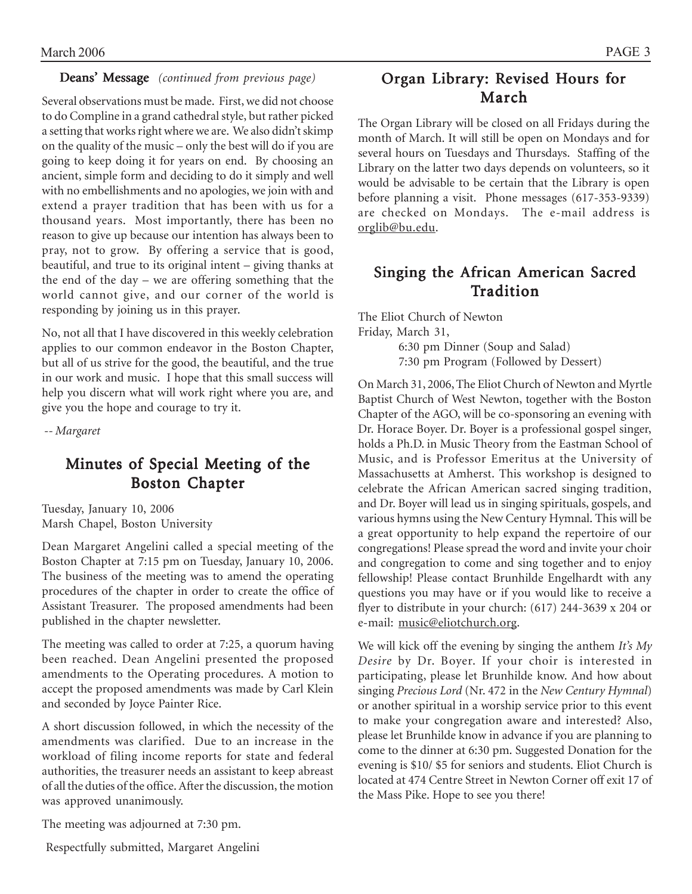### Deans' Message *(continued from previous page)*

Several observations must be made. First, we did not choose to do Compline in a grand cathedral style, but rather picked a setting that works right where we are. We also didn't skimp on the quality of the music – only the best will do if you are going to keep doing it for years on end. By choosing an ancient, simple form and deciding to do it simply and well with no embellishments and no apologies, we join with and extend a prayer tradition that has been with us for a thousand years. Most importantly, there has been no reason to give up because our intention has always been to pray, not to grow. By offering a service that is good, beautiful, and true to its original intent – giving thanks at the end of the day – we are offering something that the world cannot give, and our corner of the world is responding by joining us in this prayer.

No, not all that I have discovered in this weekly celebration applies to our common endeavor in the Boston Chapter, but all of us strive for the good, the beautiful, and the true in our work and music. I hope that this small success will help you discern what will work right where you are, and give you the hope and courage to try it.

 *-- Margaret*

# Minutes of Special Meeting of the Boston Chapter

Tuesday, January 10, 2006 Marsh Chapel, Boston University

Dean Margaret Angelini called a special meeting of the Boston Chapter at 7:15 pm on Tuesday, January 10, 2006. The business of the meeting was to amend the operating procedures of the chapter in order to create the office of Assistant Treasurer. The proposed amendments had been published in the chapter newsletter.

The meeting was called to order at 7:25, a quorum having been reached. Dean Angelini presented the proposed amendments to the Operating procedures. A motion to accept the proposed amendments was made by Carl Klein and seconded by Joyce Painter Rice.

A short discussion followed, in which the necessity of the amendments was clarified. Due to an increase in the workload of filing income reports for state and federal authorities, the treasurer needs an assistant to keep abreast of all the duties of the office. After the discussion, the motion was approved unanimously.

The meeting was adjourned at 7:30 pm.

Respectfully submitted, Margaret Angelini

# Organ Library: Revised Hours for March

The Organ Library will be closed on all Fridays during the month of March. It will still be open on Mondays and for several hours on Tuesdays and Thursdays. Staffing of the Library on the latter two days depends on volunteers, so it would be advisable to be certain that the Library is open before planning a visit. Phone messages (617-353-9339) are checked on Mondays. The e-mail address is orglib@bu.edu.

# Singing the African American Sacred Tradition

The Eliot Church of Newton Friday, March 31, 6:30 pm Dinner (Soup and Salad) 7:30 pm Program (Followed by Dessert)

On March 31, 2006, The Eliot Church of Newton and Myrtle Baptist Church of West Newton, together with the Boston Chapter of the AGO, will be co-sponsoring an evening with Dr. Horace Boyer. Dr. Boyer is a professional gospel singer, holds a Ph.D. in Music Theory from the Eastman School of Music, and is Professor Emeritus at the University of Massachusetts at Amherst. This workshop is designed to celebrate the African American sacred singing tradition, and Dr. Boyer will lead us in singing spirituals, gospels, and various hymns using the New Century Hymnal. This will be a great opportunity to help expand the repertoire of our congregations! Please spread the word and invite your choir and congregation to come and sing together and to enjoy fellowship! Please contact Brunhilde Engelhardt with any questions you may have or if you would like to receive a flyer to distribute in your church: (617) 244-3639 x 204 or e-mail: music@eliotchurch.org.

We will kick off the evening by singing the anthem *It's My Desire* by Dr. Boyer. If your choir is interested in participating, please let Brunhilde know. And how about singing *Precious Lord* (Nr. 472 in the *New Century Hymnal*) or another spiritual in a worship service prior to this event to make your congregation aware and interested? Also, please let Brunhilde know in advance if you are planning to come to the dinner at 6:30 pm. Suggested Donation for the evening is \$10/ \$5 for seniors and students. Eliot Church is located at 474 Centre Street in Newton Corner off exit 17 of the Mass Pike. Hope to see you there!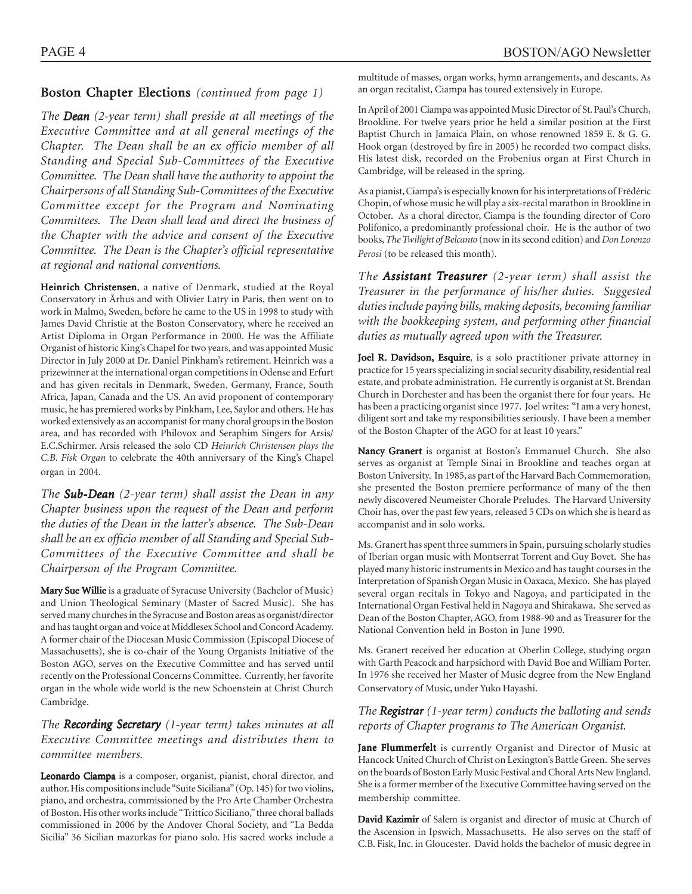### Boston Chapter Elections (continued from page 1)

*The Dean (2-year term) shall preside at all meetings of the Dean Executive Committee and at all general meetings of the Chapter. The Dean shall be an ex officio member of all Standing and Special Sub-Committees of the Executive Committee. The Dean shall have the authority to appoint the Chairpersons of all Standing Sub-Committees of the Executive Committee except for the Program and Nominating Committees. The Dean shall lead and direct the business of the Chapter with the advice and consent of the Executive Committee. The Dean is the Chapter's official representative at regional and national conventions.*

Heinrich Christensen, a native of Denmark, studied at the Royal Conservatory in Århus and with Olivier Latry in Paris, then went on to work in Malmö, Sweden, before he came to the US in 1998 to study with James David Christie at the Boston Conservatory, where he received an Artist Diploma in Organ Performance in 2000. He was the Affiliate Organist of historic King's Chapel for two years, and was appointed Music Director in July 2000 at Dr. Daniel Pinkham's retirement. Heinrich was a prizewinner at the international organ competitions in Odense and Erfurt and has given recitals in Denmark, Sweden, Germany, France, South Africa, Japan, Canada and the US. An avid proponent of contemporary music, he has premiered works by Pinkham, Lee, Saylor and others. He has worked extensively as an accompanist for many choral groups in the Boston area, and has recorded with Philovox and Seraphim Singers for Arsis/ E.C.Schirmer. Arsis released the solo CD *Heinrich Christensen plays the C.B. Fisk Organ* to celebrate the 40th anniversary of the King's Chapel organ in 2004.

*The Sub-Dean* (2-year term) shall assist the Dean in any *Chapter business upon the request of the Dean and perform the duties of the Dean in the latter's absence. The Sub-Dean shall be an ex officio member of all Standing and Special Sub-Committees of the Executive Committee and shall be Chairperson of the Program Committee.*

Mary Sue Willie is a graduate of Syracuse University (Bachelor of Music) and Union Theological Seminary (Master of Sacred Music). She has served many churches in the Syracuse and Boston areas as organist/director and has taught organ and voice at Middlesex School and Concord Academy. A former chair of the Diocesan Music Commission (Episcopal Diocese of Massachusetts), she is co-chair of the Young Organists Initiative of the Boston AGO, serves on the Executive Committee and has served until recently on the Professional Concerns Committee. Currently, her favorite organ in the whole wide world is the new Schoenstein at Christ Church Cambridge.

*The Recording Secretary* (1-year term) takes minutes at all *Executive Committee meetings and distributes them to committee members.*

Leonardo Ciampa is a composer, organist, pianist, choral director, and author. His compositions include "Suite Siciliana" (Op. 145) for two violins, piano, and orchestra, commissioned by the Pro Arte Chamber Orchestra of Boston. His other works include "Trittico Siciliano," three choral ballads commissioned in 2006 by the Andover Choral Society, and "La Bedda Sicilia" 36 Sicilian mazurkas for piano solo. His sacred works include a

multitude of masses, organ works, hymn arrangements, and descants. As an organ recitalist, Ciampa has toured extensively in Europe.

In April of 2001 Ciampa was appointed Music Director of St. Paul's Church, Brookline. For twelve years prior he held a similar position at the First Baptist Church in Jamaica Plain, on whose renowned 1859 E. & G. G. Hook organ (destroyed by fire in 2005) he recorded two compact disks. His latest disk, recorded on the Frobenius organ at First Church in Cambridge, will be released in the spring.

As a pianist, Ciampa's is especially known for his interpretations of Frédéric Chopin, of whose music he will play a six-recital marathon in Brookline in October. As a choral director, Ciampa is the founding director of Coro Polifonico, a predominantly professional choir. He is the author of two books, *The Twilight of Belcanto* (now in its second edition) and *Don Lorenzo Perosi* (to be released this month).

*The Assistant Treasurer (2-year term) shall assist the Treasurer in the performance of his/her duties. Suggested duties include paying bills, making deposits, becoming familiar with the bookkeeping system, and performing other financial duties as mutually agreed upon with the Treasurer.*

Joel R. Davidson, Esquire, is a solo practitioner private attorney in practice for 15 years specializing in social security disability, residential real estate, and probate administration. He currently is organist at St. Brendan Church in Dorchester and has been the organist there for four years. He has been a practicing organist since 1977. Joel writes: "I am a very honest, diligent sort and take my responsibilities seriously. I have been a member of the Boston Chapter of the AGO for at least 10 years."

Nancy Granert is organist at Boston's Emmanuel Church. She also serves as organist at Temple Sinai in Brookline and teaches organ at Boston University. In 1985, as part of the Harvard Bach Commemoration, she presented the Boston premiere performance of many of the then newly discovered Neumeister Chorale Preludes. The Harvard University Choir has, over the past few years, released 5 CDs on which she is heard as accompanist and in solo works.

Ms. Granert has spent three summers in Spain, pursuing scholarly studies of Iberian organ music with Montserrat Torrent and Guy Bovet. She has played many historic instruments in Mexico and has taught courses in the Interpretation of Spanish Organ Music in Oaxaca, Mexico. She has played several organ recitals in Tokyo and Nagoya, and participated in the International Organ Festival held in Nagoya and Shirakawa. She served as Dean of the Boston Chapter, AGO, from 1988-90 and as Treasurer for the National Convention held in Boston in June 1990.

Ms. Granert received her education at Oberlin College, studying organ with Garth Peacock and harpsichord with David Boe and William Porter. In 1976 she received her Master of Music degree from the New England Conservatory of Music, under Yuko Hayashi.

### *The Registrar (1-year term) conducts the balloting and sends reports of Chapter programs to The American Organist.*

Jane Flummerfelt is currently Organist and Director of Music at Hancock United Church of Christ on Lexington's Battle Green. She serves on the boards of Boston Early Music Festival and Choral Arts New England. She is a former member of the Executive Committee having served on the membership committee.

David Kazimir of Salem is organist and director of music at Church of the Ascension in Ipswich, Massachusetts. He also serves on the staff of C.B. Fisk, Inc. in Gloucester. David holds the bachelor of music degree in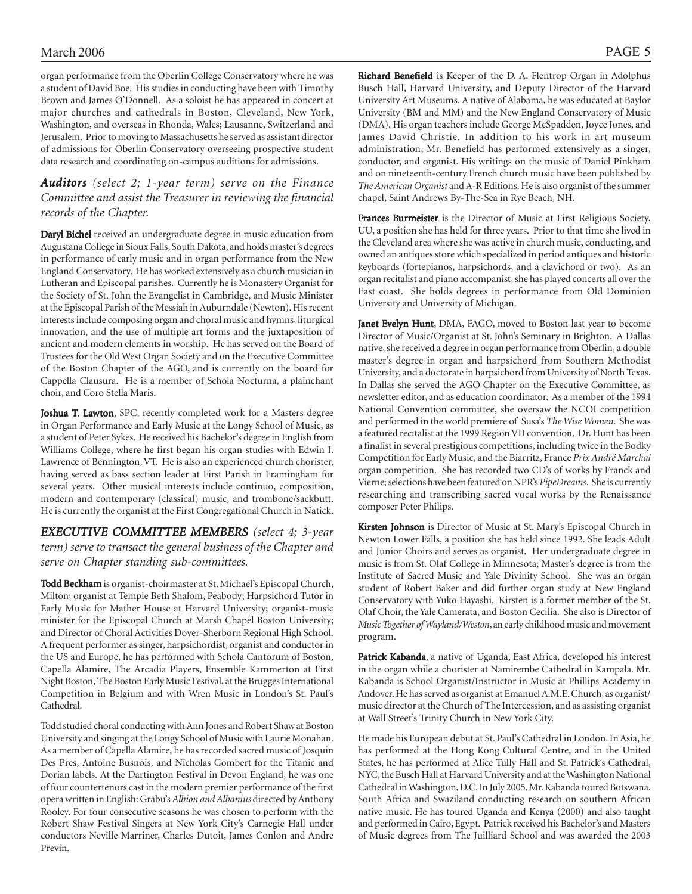organ performance from the Oberlin College Conservatory where he was a student of David Boe. His studies in conducting have been with Timothy Brown and James O'Donnell. As a soloist he has appeared in concert at major churches and cathedrals in Boston, Cleveland, New York, Washington, and overseas in Rhonda, Wales; Lausanne, Switzerland and Jerusalem. Prior to moving to Massachusetts he served as assistant director of admissions for Oberlin Conservatory overseeing prospective student data research and coordinating on-campus auditions for admissions.

### *Auditors (select 2; 1-year term) serve on the Finance Committee and assist the Treasurer in reviewing the financial records of the Chapter.*

Daryl Bichel received an undergraduate degree in music education from Augustana College in Sioux Falls, South Dakota, and holds master's degrees in performance of early music and in organ performance from the New England Conservatory. He has worked extensively as a church musician in Lutheran and Episcopal parishes. Currently he is Monastery Organist for the Society of St. John the Evangelist in Cambridge, and Music Minister at the Episcopal Parish of the Messiah in Auburndale (Newton). His recent interests include composing organ and choral music and hymns, liturgical innovation, and the use of multiple art forms and the juxtaposition of ancient and modern elements in worship. He has served on the Board of Trustees for the Old West Organ Society and on the Executive Committee of the Boston Chapter of the AGO, and is currently on the board for Cappella Clausura. He is a member of Schola Nocturna, a plainchant choir, and Coro Stella Maris.

Joshua T. Lawton, SPC, recently completed work for a Masters degree in Organ Performance and Early Music at the Longy School of Music, as a student of Peter Sykes. He received his Bachelor's degree in English from Williams College, where he first began his organ studies with Edwin I. Lawrence of Bennington, VT. He is also an experienced church chorister, having served as bass section leader at First Parish in Framingham for several years. Other musical interests include continuo, composition, modern and contemporary (classical) music, and trombone/sackbutt. He is currently the organist at the First Congregational Church in Natick.

**EXECUTIVE COMMITTEE MEMBERS** (select 4; 3-year *term) serve to transact the general business of the Chapter and serve on Chapter standing sub-committees.*

Todd Beckham is organist-choirmaster at St. Michael's Episcopal Church, Milton; organist at Temple Beth Shalom, Peabody; Harpsichord Tutor in Early Music for Mather House at Harvard University; organist-music minister for the Episcopal Church at Marsh Chapel Boston University; and Director of Choral Activities Dover-Sherborn Regional High School. A frequent performer as singer, harpsichordist, organist and conductor in the US and Europe, he has performed with Schola Cantorum of Boston, Capella Alamire, The Arcadia Players, Ensemble Kammerton at First Night Boston, The Boston Early Music Festival, at the Brugges International Competition in Belgium and with Wren Music in London's St. Paul's Cathedral.

Todd studied choral conducting with Ann Jones and Robert Shaw at Boston University and singing at the Longy School of Music with Laurie Monahan. As a member of Capella Alamire, he has recorded sacred music of Josquin Des Pres, Antoine Busnois, and Nicholas Gombert for the Titanic and Dorian labels. At the Dartington Festival in Devon England, he was one of four countertenors cast in the modern premier performance of the first opera written in English: Grabu's *Albion and Albanius* directed by Anthony Rooley. For four consecutive seasons he was chosen to perform with the Robert Shaw Festival Singers at New York City's Carnegie Hall under conductors Neville Marriner, Charles Dutoit, James Conlon and Andre Previn.

Richard Benefield is Keeper of the D. A. Flentrop Organ in Adolphus Busch Hall, Harvard University, and Deputy Director of the Harvard University Art Museums. A native of Alabama, he was educated at Baylor University (BM and MM) and the New England Conservatory of Music (DMA). His organ teachers include George McSpadden, Joyce Jones, and James David Christie. In addition to his work in art museum administration, Mr. Benefield has performed extensively as a singer, conductor, and organist. His writings on the music of Daniel Pinkham and on nineteenth-century French church music have been published by *The American Organist* and A-R Editions. He is also organist of the summer chapel, Saint Andrews By-The-Sea in Rye Beach, NH.

Frances Burmeister is the Director of Music at First Religious Society, UU, a position she has held for three years. Prior to that time she lived in the Cleveland area where she was active in church music, conducting, and owned an antiques store which specialized in period antiques and historic keyboards (fortepianos, harpsichords, and a clavichord or two). As an organ recitalist and piano accompanist, she has played concerts all over the East coast. She holds degrees in performance from Old Dominion University and University of Michigan.

Janet Evelyn Hunt, DMA, FAGO, moved to Boston last year to become Director of Music/Organist at St. John's Seminary in Brighton. A Dallas native, she received a degree in organ performance from Oberlin, a double master's degree in organ and harpsichord from Southern Methodist University, and a doctorate in harpsichord from University of North Texas. In Dallas she served the AGO Chapter on the Executive Committee, as newsletter editor, and as education coordinator. As a member of the 1994 National Convention committee, she oversaw the NCOI competition and performed in the world premiere of Susa's *The Wise Women*. She was a featured recitalist at the 1999 Region VII convention. Dr. Hunt has been a finalist in several prestigious competitions, including twice in the Bodky Competition for Early Music, and the Biarritz, France *Prix André Marchal* organ competition. She has recorded two CD's of works by Franck and Vierne; selections have been featured on NPR's *PipeDreams*. She is currently researching and transcribing sacred vocal works by the Renaissance composer Peter Philips.

Kirsten Johnson is Director of Music at St. Mary's Episcopal Church in Newton Lower Falls, a position she has held since 1992. She leads Adult and Junior Choirs and serves as organist. Her undergraduate degree in music is from St. Olaf College in Minnesota; Master's degree is from the Institute of Sacred Music and Yale Divinity School. She was an organ student of Robert Baker and did further organ study at New England Conservatory with Yuko Hayashi. Kirsten is a former member of the St. Olaf Choir, the Yale Camerata, and Boston Cecilia. She also is Director of *Music Together of Wayland/Weston*, an early childhood music and movement program.

Patrick Kabanda, a native of Uganda, East Africa, developed his interest in the organ while a chorister at Namirembe Cathedral in Kampala. Mr. Kabanda is School Organist/Instructor in Music at Phillips Academy in Andover. He has served as organist at Emanuel A.M.E. Church, as organist/ music director at the Church of The Intercession, and as assisting organist at Wall Street's Trinity Church in New York City.

He made his European debut at St. Paul's Cathedral in London. In Asia, he has performed at the Hong Kong Cultural Centre, and in the United States, he has performed at Alice Tully Hall and St. Patrick's Cathedral, NYC, the Busch Hall at Harvard University and at the Washington National Cathedral in Washington, D.C. In July 2005, Mr. Kabanda toured Botswana, South Africa and Swaziland conducting research on southern African native music. He has toured Uganda and Kenya (2000) and also taught and performed in Cairo, Egypt. Patrick received his Bachelor's and Masters of Music degrees from The Juilliard School and was awarded the 2003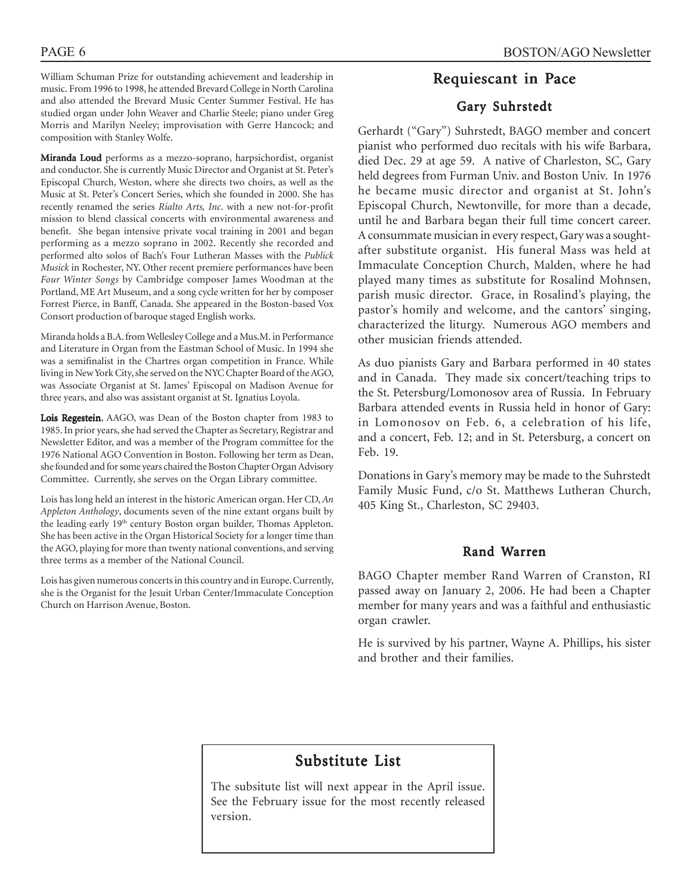William Schuman Prize for outstanding achievement and leadership in music. From 1996 to 1998, he attended Brevard College in North Carolina and also attended the Brevard Music Center Summer Festival. He has studied organ under John Weaver and Charlie Steele; piano under Greg Morris and Marilyn Neeley; improvisation with Gerre Hancock; and composition with Stanley Wolfe.

Miranda Loud performs as a mezzo-soprano, harpsichordist, organist and conductor. She is currently Music Director and Organist at St. Peter's Episcopal Church, Weston, where she directs two choirs, as well as the Music at St. Peter's Concert Series, which she founded in 2000. She has recently renamed the series *Rialto Arts, Inc*. with a new not-for-profit mission to blend classical concerts with environmental awareness and benefit. She began intensive private vocal training in 2001 and began performing as a mezzo soprano in 2002. Recently she recorded and performed alto solos of Bach's Four Lutheran Masses with the *Publick Musick* in Rochester, NY. Other recent premiere performances have been *Four Winter Songs* by Cambridge composer James Woodman at the Portland, ME Art Museum, and a song cycle written for her by composer Forrest Pierce, in Banff, Canada. She appeared in the Boston-based Vox Consort production of baroque staged English works.

Miranda holds a B.A. from Wellesley College and a Mus.M. in Performance and Literature in Organ from the Eastman School of Music. In 1994 she was a semifinalist in the Chartres organ competition in France. While living in New York City, she served on the NYC Chapter Board of the AGO, was Associate Organist at St. James' Episcopal on Madison Avenue for three years, and also was assistant organist at St. Ignatius Loyola.

Lois Regestein, AAGO, was Dean of the Boston chapter from 1983 to 1985. In prior years, she had served the Chapter as Secretary, Registrar and Newsletter Editor, and was a member of the Program committee for the 1976 National AGO Convention in Boston. Following her term as Dean, she founded and for some years chaired the Boston Chapter Organ Advisory Committee. Currently, she serves on the Organ Library committee.

Lois has long held an interest in the historic American organ. Her CD, *An Appleton Anthology*, documents seven of the nine extant organs built by the leading early 19<sup>th</sup> century Boston organ builder, Thomas Appleton. She has been active in the Organ Historical Society for a longer time than the AGO, playing for more than twenty national conventions, and serving three terms as a member of the National Council.

Lois has given numerous concerts in this country and in Europe. Currently, she is the Organist for the Jesuit Urban Center/Immaculate Conception Church on Harrison Avenue, Boston.

### Requiescant in Pace

### Gary Suhrstedt

Gerhardt ("Gary") Suhrstedt, BAGO member and concert pianist who performed duo recitals with his wife Barbara, died Dec. 29 at age 59. A native of Charleston, SC, Gary held degrees from Furman Univ. and Boston Univ. In 1976 he became music director and organist at St. John's Episcopal Church, Newtonville, for more than a decade, until he and Barbara began their full time concert career. A consummate musician in every respect, Gary was a soughtafter substitute organist. His funeral Mass was held at Immaculate Conception Church, Malden, where he had played many times as substitute for Rosalind Mohnsen, parish music director. Grace, in Rosalind's playing, the pastor's homily and welcome, and the cantors' singing, characterized the liturgy. Numerous AGO members and other musician friends attended.

As duo pianists Gary and Barbara performed in 40 states and in Canada. They made six concert/teaching trips to the St. Petersburg/Lomonosov area of Russia. In February Barbara attended events in Russia held in honor of Gary: in Lomonosov on Feb. 6, a celebration of his life, and a concert, Feb. 12; and in St. Petersburg, a concert on Feb. 19.

Donations in Gary's memory may be made to the Suhrstedt Family Music Fund, c/o St. Matthews Lutheran Church, 405 King St., Charleston, SC 29403.

### Rand Warren

BAGO Chapter member Rand Warren of Cranston, RI passed away on January 2, 2006. He had been a Chapter member for many years and was a faithful and enthusiastic organ crawler.

He is survived by his partner, Wayne A. Phillips, his sister and brother and their families.

# Substitute List

The subsitute list will next appear in the April issue. See the February issue for the most recently released version.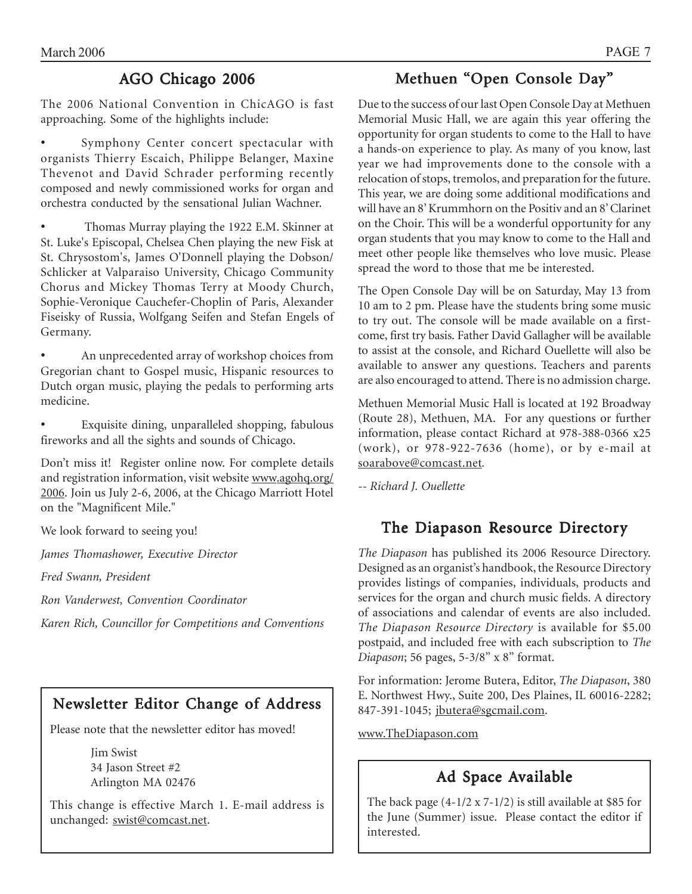# AGO Chicago 2006

The 2006 National Convention in ChicAGO is fast approaching. Some of the highlights include:

Symphony Center concert spectacular with organists Thierry Escaich, Philippe Belanger, Maxine Thevenot and David Schrader performing recently composed and newly commissioned works for organ and orchestra conducted by the sensational Julian Wachner.

• Thomas Murray playing the 1922 E.M. Skinner at St. Luke's Episcopal, Chelsea Chen playing the new Fisk at St. Chrysostom's, James O'Donnell playing the Dobson/ Schlicker at Valparaiso University, Chicago Community Chorus and Mickey Thomas Terry at Moody Church, Sophie-Veronique Cauchefer-Choplin of Paris, Alexander Fiseisky of Russia, Wolfgang Seifen and Stefan Engels of Germany.

An unprecedented array of workshop choices from Gregorian chant to Gospel music, Hispanic resources to Dutch organ music, playing the pedals to performing arts medicine.

• Exquisite dining, unparalleled shopping, fabulous fireworks and all the sights and sounds of Chicago.

Don't miss it! Register online now. For complete details and registration information, visit website www.agohq.org/ 2006. Join us July 2-6, 2006, at the Chicago Marriott Hotel on the "Magnificent Mile."

We look forward to seeing you!

*James Thomashower, Executive Director*

*Fred Swann, President*

*Ron Vanderwest, Convention Coordinator*

*Karen Rich, Councillor for Competitions and Conventions*

# Newsletter Editor Change of Address

Please note that the newsletter editor has moved!

Jim Swist 34 Jason Street #2 Arlington MA 02476

This change is effective March 1. E-mail address is unchanged: swist@comcast.net.

# Methuen "Open Console Day"

Due to the success of our last Open Console Day at Methuen Memorial Music Hall, we are again this year offering the opportunity for organ students to come to the Hall to have a hands-on experience to play. As many of you know, last year we had improvements done to the console with a relocation of stops, tremolos, and preparation for the future. This year, we are doing some additional modifications and will have an 8' Krummhorn on the Positiv and an 8' Clarinet on the Choir. This will be a wonderful opportunity for any organ students that you may know to come to the Hall and meet other people like themselves who love music. Please spread the word to those that me be interested.

The Open Console Day will be on Saturday, May 13 from 10 am to 2 pm. Please have the students bring some music to try out. The console will be made available on a firstcome, first try basis. Father David Gallagher will be available to assist at the console, and Richard Ouellette will also be available to answer any questions. Teachers and parents are also encouraged to attend. There is no admission charge.

Methuen Memorial Music Hall is located at 192 Broadway (Route 28), Methuen, MA. For any questions or further information, please contact Richard at 978-388-0366 x25 (work), or 978-922-7636 (home), or by e-mail at soarabove@comcast.net*.*

*-- Richard J. Ouellette*

# The Diapason Resource Directory

*The Diapason* has published its 2006 Resource Directory. Designed as an organist's handbook, the Resource Directory provides listings of companies, individuals, products and services for the organ and church music fields. A directory of associations and calendar of events are also included. *The Diapason Resource Directory* is available for \$5.00 postpaid, and included free with each subscription to *The Diapason*; 56 pages, 5-3/8" x 8" format.

For information: Jerome Butera, Editor, *The Diapason*, 380 E. Northwest Hwy., Suite 200, Des Plaines, IL 60016-2282; 847-391-1045; jbutera@sgcmail.com.

www.TheDiapason.com

# Ad Space Available

The back page  $(4-1/2 \times 7-1/2)$  is still available at \$85 for the June (Summer) issue. Please contact the editor if interested.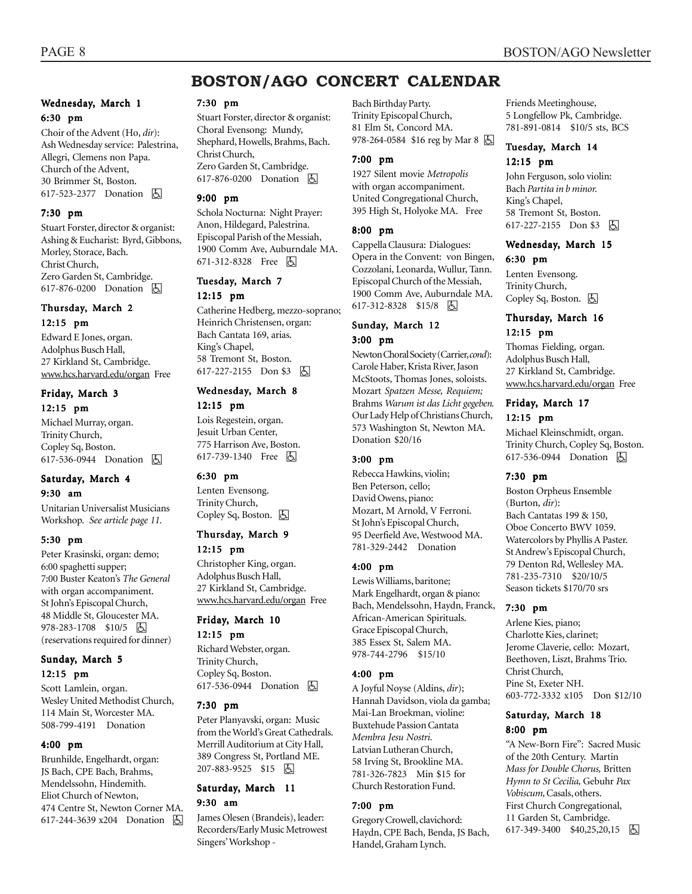# **BOSTON/AGO CONCERT CALENDAR**

#### Wednesday, March 1 6:30 pm

Choir of the Advent (Ho, *dir*): Ash Wednesday service: Palestrina, Allegri, Clemens non Papa. Church of the Advent, 30 Brimmer St, Boston. 617-523-2377 Donation **b** 

### 7:30 pm

Stuart Forster, director & organist: Ashing & Eucharist: Byrd, Gibbons, Morley, Storace, Bach. Christ Church, Zero Garden St, Cambridge. 617-876-0200 Donation **b** 

### Thursday, March 2 12:15 pm

Edward E Jones, organ. Adolphus Busch Hall, 27 Kirkland St, Cambridge. www.hcs.harvard.edu/organ Free

### Friday, March 3 12:15 pm

Michael Murray, organ. Trinity Church, Copley Sq, Boston. 617-536-0944 Donation **b** 

#### Saturday, March 4 9:30 am

Unitarian Universalist Musicians Workshop. *See article page 11.*

### 5:30 pm

Peter Krasinski, organ: demo; 6:00 spaghetti supper; 7:00 Buster Keaton's *The General* with organ accompaniment. St John's Episcopal Church, 48 Middle St, Gloucester MA. 978-283-1708 \$10/5 因 (reservations required for dinner)

# Sunday, March 5

### 12:15 pm

Scott Lamlein, organ. Wesley United Methodist Church, 114 Main St, Worcester MA. 508-799-4191 Donation

### 4:00 pm

Brunhilde, Engelhardt, organ: JS Bach, CPE Bach, Brahms, Mendelssohn, Hindemith. Eliot Church of Newton, 474 Centre St, Newton Corner MA. 617-244-3639 x204 Donation h

### 7:30 pm

Stuart Forster, director & organist: Choral Evensong: Mundy, Shephard, Howells, Brahms, Bach. Christ Church, Zero Garden St, Cambridge. 617-876-0200 Donation **b** 

#### 9:00 pm

Schola Nocturna: Night Prayer: Anon, Hildegard, Palestrina. Episcopal Parish of the Messiah, 1900 Comm Ave, Auburndale MA. 671-312-8328 Free **b** 

### Tuesday, March 7

12:15 pm

Catherine Hedberg, mezzo-soprano; Heinrich Christensen, organ: Bach Cantata 169, arias. King's Chapel, 58 Tremont St, Boston. 617-227-2155 Don \$3 h

#### Wednesday, March 8 12:15 pm

Lois Regestein, organ. Jesuit Urban Center, 775 Harrison Ave, Boston. 617-739-1340 Free 因

### 6:30 pm

Lenten Evensong. Trinity Church, Copley Sq, Boston.  $\boxed{6}$ 

### Thursday, March 9 12:15 pm

Christopher King, organ. Adolphus Busch Hall, 27 Kirkland St, Cambridge. www.hcs.harvard.edu/organ Free

### Friday, March 10

12:15 pm

Richard Webster, organ. Trinity Church, Copley Sq, Boston. 617-536-0944 Donation **b** 

### 7:30 pm

Peter Planyavski, organ: Music from the World's Great Cathedrals. Merrill Auditorium at City Hall, 389 Congress St, Portland ME. 207-883-9525 \$15 因

### Saturday, March 11 9:30 am

James Olesen (Brandeis), leader: Recorders/Early Music Metrowest Singers' Workshop -

Bach Birthday Party. Trinity Episcopal Church, 81 Elm St, Concord MA. 978-264-0584 \$16 reg by Mar 8 [5]

### 7:00 pm

1927 Silent movie *Metropolis* with organ accompaniment. United Congregational Church, 395 High St, Holyoke MA. Free

### 8:00 pm

Cappella Clausura: Dialogues: Opera in the Convent: von Bingen, Cozzolani, Leonarda, Wullur, Tann. Episcopal Church of the Messiah, 1900 Comm Ave, Auburndale MA. 617-312-8328 \$15/8 因

### Sunday, March 12 3:00 pm

Newton Choral Society (Carrier, *cond*): Carole Haber, Krista River, Jason McStoots, Thomas Jones, soloists. Mozart *Spatzen Messe, Requiem;* Brahms *Warum ist das Licht gegeben.* Our Lady Help of Christians Church, 573 Washington St, Newton MA. Donation \$20/16

### 3:00 pm

Rebecca Hawkins, violin; Ben Peterson, cello; David Owens, piano: Mozart, M Arnold, V Ferroni. St John's Episcopal Church, 95 Deerfield Ave, Westwood MA. 781-329-2442 Donation

### 4:00 pm

Lewis Williams, baritone; Mark Engelhardt, organ & piano: Bach, Mendelssohn, Haydn, Franck, African-American Spirituals. Grace Episcopal Church, 385 Essex St, Salem MA. 978-744-2796 \$15/10

### 4:00 pm

A Joyful Noyse (Aldins, *dir*); Hannah Davidson, viola da gamba; Mai-Lan Broekman, violine: Buxtehude Passion Cantata *Membra Jesu Nostri.* Latvian Lutheran Church, 58 Irving St, Brookline MA. 781-326-7823 Min \$15 for Church Restoration Fund.

### 7:00 pm

Gregory Crowell, clavichord: Haydn, CPE Bach, Benda, JS Bach, Handel, Graham Lynch.

Friends Meetinghouse, 5 Longfellow Pk, Cambridge. 781-891-0814 \$10/5 sts, BCS

#### Tuesday, March 14 12:15 pm

John Ferguson, solo violin: Bach *Partita in b minor.* King's Chapel, 58 Tremont St, Boston. 617-227-2155 Don \$3 因

#### Wednesday, March 15 6:30 pm

Lenten Evensong. Trinity Church, Copley Sq, Boston. **固** 

### Thursday, March 16 12:15 pm

Thomas Fielding, organ. Adolphus Busch Hall, 27 Kirkland St, Cambridge. www.hcs.harvard.edu/organ Free

### Friday, March 17 12:15 pm

Michael Kleinschmidt, organ. Trinity Church, Copley Sq, Boston. 617-536-0944 Donation **b** 

### 7:30 pm

Boston Orpheus Ensemble (Burton, *dir*): Bach Cantatas 199 & 150, Oboe Concerto BWV 1059. Watercolors by Phyllis A Paster. St Andrew's Episcopal Church, 79 Denton Rd, Wellesley MA. 781-235-7310 \$20/10/5 Season tickets \$170/70 srs

### 7:30 pm

Arlene Kies, piano; Charlotte Kies, clarinet; Jerome Claverie, cello: Mozart, Beethoven, Liszt, Brahms Trio. Christ Church, Pine St, Exeter NH. 603-772-3332 x105 Don \$12/10

### Saturday, March 18 8:00 pm

"A New-Born Fire": Sacred Music of the 20th Century. Martin *Mass for Double Chorus,* Britten *Hymn to St Cecilia,* Gebuhr *Pax Vobiscum,* Casals, others. First Church Congregational, 11 Garden St, Cambridge. 617-349-3400 \$40,25,20,15  $\boxed{6}$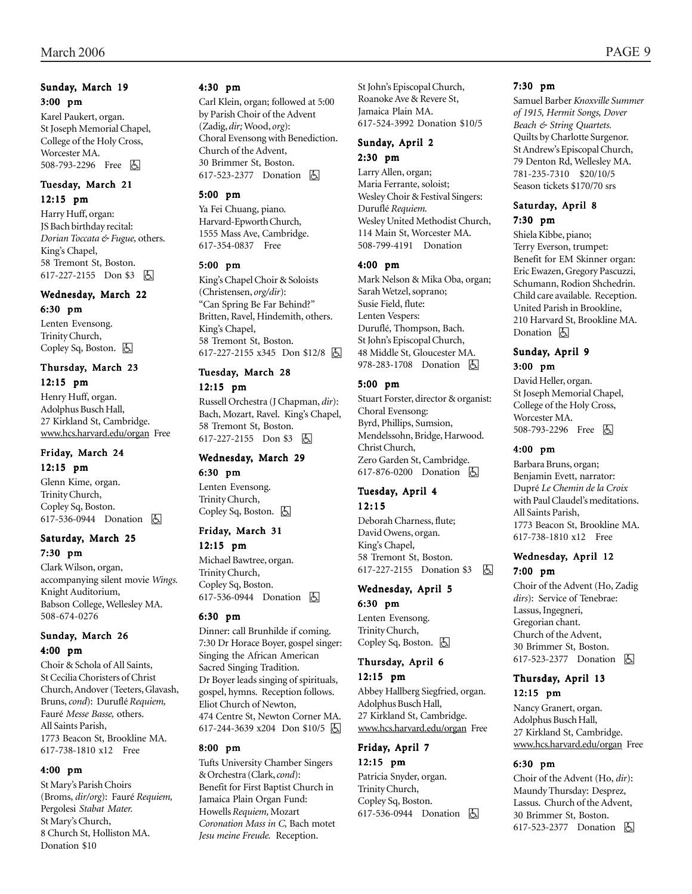### Sunday, March 19 3:00 pm

Karel Paukert, organ. St Joseph Memorial Chapel, College of the Holy Cross, Worcester MA. 508-793-2296 Free **A** 

### Tuesday, March 21 12:15 pm

Harry Huff, organ: JS Bach birthday recital: *Dorian Toccata & Fugue,* others. King's Chapel, 58 Tremont St, Boston. 617-227-2155 Don \$3 因

### Wednesday, March 22 6:30 pm

Lenten Evensong. Trinity Church, Copley Sq, Boston.  $\Box$ 

### Thursday, March 23 12:15 pm

Henry Huff, organ. Adolphus Busch Hall, 27 Kirkland St, Cambridge. www.hcs.harvard.edu/organ Free

### Friday, March 24

12:15 pm Glenn Kime, organ. Trinity Church, Copley Sq, Boston. 617-536-0944 Donation  $\boxed{6}$ 

### Saturday, March 25 7:30 pm

Clark Wilson, organ, accompanying silent movie *Wings.* Knight Auditorium, Babson College, Wellesley MA. 508-674-0276

### Sunday, March 26 4:00 pm

Choir & Schola of All Saints, St Cecilia Choristers of Christ Church, Andover (Teeters, Glavash, Bruns, *cond*): Duruflé *Requiem,* Fauré *Messe Basse,* others. All Saints Parish, 1773 Beacon St, Brookline MA. 617-738-1810 x12 Free

### 4:00 pm

St Mary's Parish Choirs (Broms, *dir/org*): Fauré *Requiem,* Pergolesi *Stabat Mater.* St Mary's Church, 8 Church St, Holliston MA. Donation \$10

### 4:30 pm

Carl Klein, organ; followed at 5:00 by Parish Choir of the Advent (Zadig, *dir;* Wood, *org*): Choral Evensong with Benediction. Church of the Advent, 30 Brimmer St, Boston. 617-523-2377 Donation **b** 

### 5:00 pm

Ya Fei Chuang, piano. Harvard-Epworth Church, 1555 Mass Ave, Cambridge. 617-354-0837 Free

### 5:00 pm

King's Chapel Choir & Soloists (Christensen, *org/dir*): "Can Spring Be Far Behind?" Britten, Ravel, Hindemith, others. King's Chapel, 58 Tremont St, Boston. 617-227-2155 x345 Don \$12/8 h

### Tuesday, March 28 12:15 pm

Russell Orchestra (J Chapman, *dir*): Bach, Mozart, Ravel. King's Chapel, 58 Tremont St, Boston. 617-227-2155 Don \$3 因

### Wednesday, March 29 6:30 pm

Lenten Evensong. Trinity Church, Copley Sq, Boston.  $\Box$ 

### Friday, March 31

### 12:15 pm

Michael Bawtree, organ. Trinity Church, Copley Sq, Boston. 617-536-0944 Donation  $\Box$ 

### 6:30 pm

Dinner: call Brunhilde if coming. 7:30 Dr Horace Boyer, gospel singer: Singing the African American Sacred Singing Tradition. Dr Boyer leads singing of spirituals, gospel, hymns. Reception follows. Eliot Church of Newton, 474 Centre St, Newton Corner MA. 617-244-3639 x204 Don \$10/5 h

### 8:00 pm

Tufts University Chamber Singers & Orchestra (Clark, *cond*): Benefit for First Baptist Church in Jamaica Plain Organ Fund: Howells *Requiem,* Mozart *Coronation Mass in C,* Bach motet *Jesu meine Freude.* Reception.

St John's Episcopal Church, Roanoke Ave & Revere St, Jamaica Plain MA. 617-524-3992 Donation \$10/5

### Sunday, April 2 2:30 pm

Larry Allen, organ; Maria Ferrante, soloist; Wesley Choir & Festival Singers: Duruflé *Requiem.* Wesley United Methodist Church, 114 Main St, Worcester MA. 508-799-4191 Donation

### 4:00 pm

Mark Nelson & Mika Oba, organ; Sarah Wetzel, soprano; Susie Field, flute: Lenten Vespers: Duruflé, Thompson, Bach. St John's Episcopal Church, 48 Middle St, Gloucester MA. 978-283-1708 Donation  $\boxed{6}$ 

### 5:00 pm

Stuart Forster, director & organist: Choral Evensong: Byrd, Phillips, Sumsion, Mendelssohn, Bridge, Harwood. Christ Church, Zero Garden St, Cambridge. 617-876-0200 Donation **b** 

### Tuesday, April 4 12:15

Deborah Charness, flute; David Owens, organ. King's Chapel, 58 Tremont St, Boston. 617-227-2155 Donation \$3 | A

### Wednesday, April 5 6:30 pm

Lenten Evensong. Trinity Church, Copley Sq, Boston.  $\Box$ 

### Thursday, April 6

### 12:15 pm

Abbey Hallberg Siegfried, organ. Adolphus Busch Hall, 27 Kirkland St, Cambridge. www.hcs.harvard.edu/organ Free

### Friday, April 7

12:15 pm Patricia Snyder, organ. Trinity Church, Copley Sq, Boston. 617-536-0944 Donation **b** 

### 7:30 pm

Samuel Barber *Knoxville Summer of 1915, Hermit Songs, Dover Beach & String Quartets.* Quilts by Charlotte Surgenor. St Andrew's Episcopal Church, 79 Denton Rd, Wellesley MA. 781-235-7310 \$20/10/5 Season tickets \$170/70 srs

### Saturday, April 8 7:30 pm

Shiela Kibbe, piano; Terry Everson, trumpet: Benefit for EM Skinner organ: Eric Ewazen, Gregory Pascuzzi, Schumann, Rodion Shchedrin. Child care available. Reception. United Parish in Brookline, 210 Harvard St, Brookline MA. Donation  $\boxed{6}$ 

### Sunday, April 9

3:00 pm

David Heller, organ. St Joseph Memorial Chapel, College of the Holy Cross, Worcester MA. 508-793-2296 Free 因

### 4:00 pm

Barbara Bruns, organ; Benjamin Evett, narrator: Dupré *Le Chemin de la Croix* with Paul Claudel's meditations. All Saints Parish, 1773 Beacon St, Brookline MA. 617-738-1810 x12 Free

### Wednesday, April 12 7:00 pm

Choir of the Advent (Ho, Zadig *dirs*): Service of Tenebrae: Lassus, Ingegneri, Gregorian chant. Church of the Advent, 30 Brimmer St, Boston. 617-523-2377 Donation **A** 

### Thursday, April 13 12:15 pm

Nancy Granert, organ. Adolphus Busch Hall, 27 Kirkland St, Cambridge. www.hcs.harvard.edu/organ Free

### 6:30 pm

Choir of the Advent (Ho, *dir*): Maundy Thursday: Desprez, Lassus. Church of the Advent, 30 Brimmer St, Boston. 617-523-2377 Donation h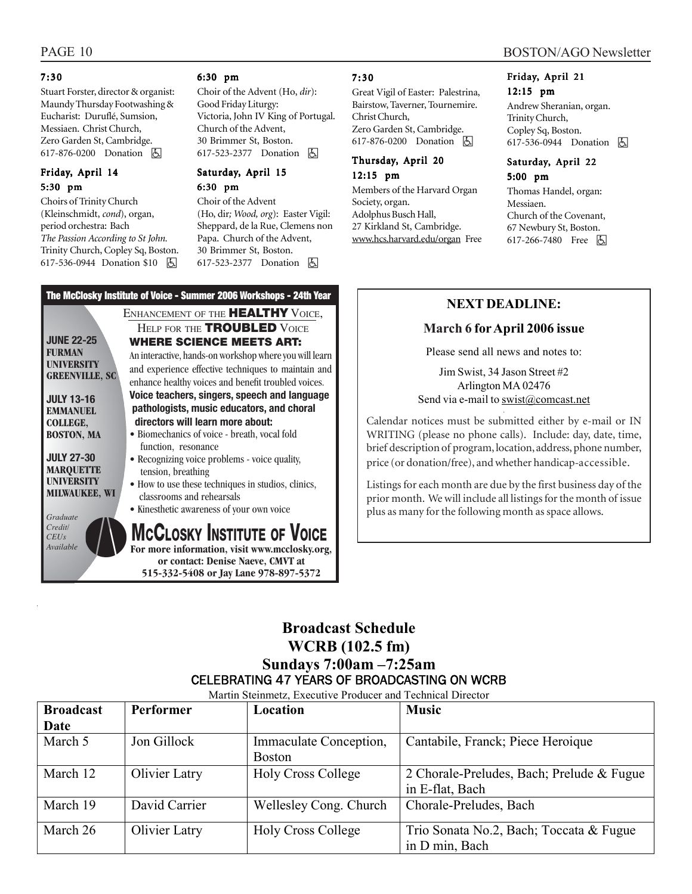#### 7:30

Stuart Forster, director & organist: Maundy Thursday Footwashing & Eucharist: Duruflé, Sumsion, Messiaen. Christ Church, Zero Garden St, Cambridge.  $617-876-0200$  Donation  $\boxed{6}$ 

### Friday, April 14 5:30 pm

Choirs of Trinity Church (Kleinschmidt, *cond*), organ, period orchestra: Bach *The Passion According to St John.* Trinity Church, Copley Sq, Boston. 617-536-0944 Donation \$10 囚

#### 6:30 pm

Choir of the Advent (Ho, *dir*): Good Friday Liturgy: Victoria, John IV King of Portugal. Church of the Advent, 30 Brimmer St, Boston. 617-523-2377 Donation **b** 

### Saturday, April 15 6:30 pm

Choir of the Advent

(Ho, dir*; Wood, org*): Easter Vigil: Sheppard, de la Rue, Clemens non Papa. Church of the Advent, 30 Brimmer St, Boston. 617-523-2377 Donation  $\Box$ 

### **The McClosky Institute of Voice - Summer 2006 Workshops - 24th Year**

|                                       | ENHANCEMENT OF THE <b>HEALTHY</b> VOICE,                                 |
|---------------------------------------|--------------------------------------------------------------------------|
|                                       | HELP FOR THE <b>TROUBLED</b> VOICE                                       |
| <b>JUNE 22-25</b>                     | <b>WHERE SCIENCE MEETS ART:</b>                                          |
| <b>FURMAN</b>                         | An interactive, hands-on workshop where you will learn                   |
| <b>UNIVERSITY</b>                     | and experience effective techniques to maintain and                      |
| <b>GREENVILLE, SC</b>                 | enhance healthy voices and benefit troubled voices.                      |
| <b>JULY 13-16</b>                     | Voice teachers, singers, speech and language                             |
| <b>EMMANUEL</b>                       | pathologists, music educators, and choral                                |
| COLLEGE,                              | directors will learn more about:                                         |
| <b>BOSTON, MA</b>                     | • Biomechanics of voice - breath, vocal fold                             |
|                                       | function, resonance                                                      |
| <b>JULY 27-30</b><br><b>MARQUETTE</b> | • Recognizing voice problems - voice quality,                            |
| <b>UNIVERSITY</b>                     | tension, breathing<br>• How to use these techniques in studios, clinics, |
| <b>MILWAUKEE, WI</b>                  | classrooms and rehearsals                                                |
|                                       | · Kinesthetic awareness of your own voice                                |
| Graduate                              |                                                                          |
| <b>Credit</b> /<br>CEI/s              | <b>MCCLOSKY INSTITUTE OF VOICE</b>                                       |
| <b>Available</b>                      | For more information, visit www.mcclosky.org,                            |
|                                       | or contact: Denise Naeve, CMVT at                                        |
|                                       | 515-332-5408 or Jay Lane 978-897-5372                                    |

#### 7:30

Great Vigil of Easter: Palestrina, Bairstow, Taverner, Tournemire. Christ Church, Zero Garden St, Cambridge. 617-876-0200 Donation  $\Box$ 

### Thursday, April 20 12:15 pm

Members of the Harvard Organ Society, organ. Adolphus Busch Hall, 27 Kirkland St, Cambridge. www.hcs.harvard.edu/organ Free

### PAGE 10 BOSTON/AGO Newsletter

# Friday, April 21

12:15 pm Andrew Sheranian, organ. Trinity Church, Copley Sq, Boston. 617-536-0944 Donation **b** 

#### Saturday, April 22 5:00 pm

Thomas Handel, organ: Messiaen. Church of the Covenant, 67 Newbury St, Boston. 617-266-7480 Free **b** 

### **NEXT DEADLINE:**

### **March 6 for April 2006 issue**

Please send all news and notes to:

Jim Swist, 34 Jason Street #2 Arlington MA 02476 Send via e-mail to swist@comcast.net

Calendar notices must be submitted either by e-mail or IN WRITING (please no phone calls). Include: day, date, time, brief description of program, location, address, phone number, price (or donation/free), and whether handicap-accessible.

Listings for each month are due by the first business day of the prior month. We will include all listings for the month of issue plus as many for the following month as space allows.

### **Broadcast Schedule WCRB (102.5 fm) Sundays 7:00am –7:25am**  CELEBRATING 47 YEARS OF BROADCASTING ON WCRB

Martin Steinmetz, Executive Producer and Technical Director

| <b>Broadcast</b> | <b>Performer</b> | Location                  | <b>Music</b>                              |
|------------------|------------------|---------------------------|-------------------------------------------|
| Date             |                  |                           |                                           |
| March 5          | Jon Gillock      | Immaculate Conception,    | Cantabile, Franck; Piece Heroique         |
|                  |                  | <b>Boston</b>             |                                           |
| March 12         | Olivier Latry    | <b>Holy Cross College</b> | 2 Chorale-Preludes, Bach; Prelude & Fugue |
|                  |                  |                           | in E-flat, Bach                           |
| March 19         | David Carrier    | Wellesley Cong. Church    | Chorale-Preludes, Bach                    |
|                  |                  |                           |                                           |
| March 26         | Olivier Latry    | <b>Holy Cross College</b> | Trio Sonata No.2, Bach; Toccata & Fugue   |
|                  |                  |                           | in D min, Bach                            |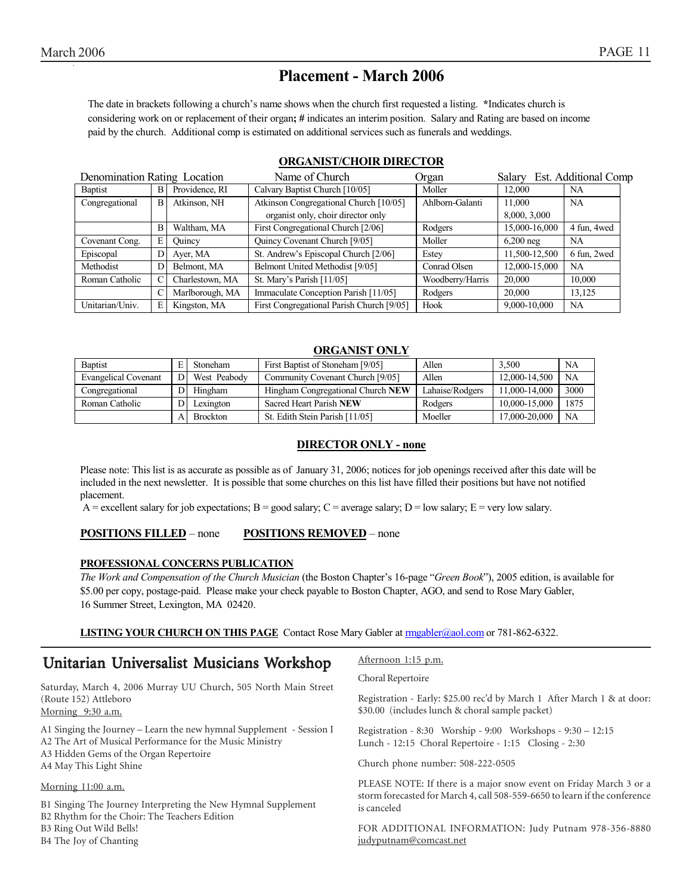# **Placement - March 2006**

 The date in brackets following a church's name shows when the church first requested a listing. **\***Indicates church is considering work on or replacement of their organ**; #** indicates an interim position. Salary and Rating are based on income paid by the church. Additional comp is estimated on additional services such as funerals and weddings.

| Denomination Rating Location |   |                 | Name of Church                            | Organ            | Salary        | Est. Additional Comp |
|------------------------------|---|-----------------|-------------------------------------------|------------------|---------------|----------------------|
| <b>Baptist</b>               | B | Providence, RI  | Calvary Baptist Church [10/05]            | Moller           | 12.000        | <b>NA</b>            |
| Congregational               | B | Atkinson, NH    | Atkinson Congregational Church [10/05]    | Ahlborn-Galanti  | 11.000        | <b>NA</b>            |
|                              |   |                 | organist only, choir director only        |                  | 8,000, 3,000  |                      |
|                              | B | Waltham, MA     | First Congregational Church [2/06]        | Rodgers          | 15,000-16,000 | 4 fun, 4 wed         |
| Covenant Cong.               | E | Ouincy          | <b>Ouincy Covenant Church [9/05]</b>      | Moller           | $6,200$ neg   | NA                   |
| Episcopal                    | D | Aver, MA        | St. Andrew's Episcopal Church [2/06]      | Estey            | 11,500-12,500 | 6 fun, 2wed          |
| Methodist                    | D | Belmont, MA     | Belmont United Methodist [9/05]           | Conrad Olsen     | 12,000-15,000 | NA.                  |
| Roman Catholic               |   | Charlestown, MA | St. Mary's Parish [11/05]                 | Woodberry/Harris | 20,000        | 10.000               |
|                              |   | Marlborough, MA | Immaculate Conception Parish [11/05]      | Rodgers          | 20,000        | 13,125               |
| Unitarian/Univ.              | E | Kingston, MA    | First Congregational Parish Church [9/05] | Hook             | 9,000-10,000  | <b>NA</b>            |

### **ORGANIST/CHOIR DIRECTOR**

### **ORGANIST ONLY**

| <b>Baptist</b>              |    | Stoneham        | First Baptist of Stoneham [9/05]  | Allen           | 3.500         | NA        |
|-----------------------------|----|-----------------|-----------------------------------|-----------------|---------------|-----------|
| <b>Evangelical Covenant</b> | D. | West Peabody    | Community Covenant Church [9/05]  | Allen           | 12.000-14.500 | <b>NA</b> |
| Congregational              | D. | Hingham         | Hingham Congregational Church NEW | Lahaise/Rodgers | 11.000-14.000 | 3000      |
| Roman Catholic              | DΙ | Lexington       | Sacred Heart Parish NEW           | Rodgers         | 10.000-15.000 | 1875      |
|                             |    | <b>Brockton</b> | St. Edith Stein Parish [11/05]    | Moeller         | 17,000-20,000 | <b>NA</b> |

#### **DIRECTOR ONLY - none**

Please note: This list is as accurate as possible as of January 31, 2006; notices for job openings received after this date will be included in the next newsletter. It is possible that some churches on this list have filled their positions but have not notified placement.

A = excellent salary for job expectations;  $B =$  good salary;  $C =$  average salary;  $D =$  low salary;  $E =$  very low salary.

### **POSITIONS FILLED** – none **POSITIONS REMOVED** – none

### **PROFESSIONAL CONCERNS PUBLICATION**

*The Work and Compensation of the Church Musician* (the Boston Chapter's 16-page "*Green Book*"), 2005 edition, is available for \$5.00 per copy, postage-paid. Please make your check payable to Boston Chapter, AGO, and send to Rose Mary Gabler, 16 Summer Street, Lexington, MA 02420.

**LISTING YOUR CHURCH ON THIS PAGE** Contact Rose Mary Gabler at rmgabler@aol.com or 781-862-6322.

### Unitarian Universalist Musicians Workshop

Saturday, March 4, 2006 Murray UU Church, 505 North Main Street (Route 152) Attleboro Morning 9:30 a.m.

A1 Singing the Journey – Learn the new hymnal Supplement - Session I A2 The Art of Musical Performance for the Music Ministry A3 Hidden Gems of the Organ Repertoire A4 May This Light Shine

#### Morning 11:00 a.m.

B1 Singing The Journey Interpreting the New Hymnal Supplement B2 Rhythm for the Choir: The Teachers Edition B3 Ring Out Wild Bells!

B4 The Joy of Chanting

Afternoon 1:15 p.m.

Choral Repertoire

Registration - Early: \$25.00 rec'd by March 1 After March 1 & at door: \$30.00 (includes lunch & choral sample packet)

Registration - 8:30 Worship - 9:00 Workshops - 9:30 – 12:15 Lunch - 12:15 Choral Repertoire - 1:15 Closing - 2:30

Church phone number: 508-222-0505

PLEASE NOTE: If there is a major snow event on Friday March 3 or a storm forecasted for March 4, call 508-559-6650 to learn if the conference is canceled

FOR ADDITIONAL INFORMATION: Judy Putnam 978-356-8880 judyputnam@comcast.net